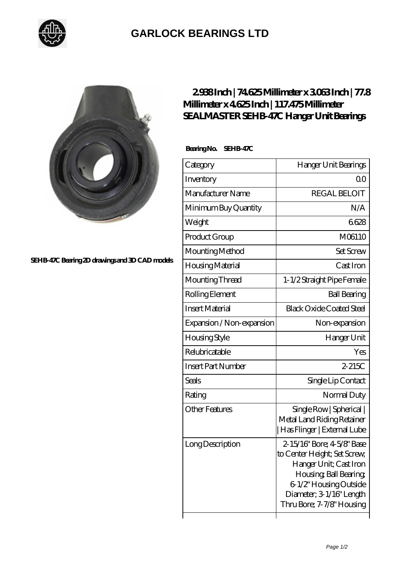

## **[GARLOCK BEARINGS LTD](https://m.letterstopriests.com)**



**[SEHB-47C Bearing 2D drawings and 3D CAD models](https://m.letterstopriests.com/pic-189053.html)**

## **[2.938 Inch | 74.625 Millimeter x 3.063 Inch | 77.8](https://m.letterstopriests.com/by-189053-sealmaster-sehb-47c-hanger-unit-bearings.html) [Millimeter x 4.625 Inch | 117.475 Millimeter](https://m.letterstopriests.com/by-189053-sealmaster-sehb-47c-hanger-unit-bearings.html) [SEALMASTER SEHB-47C Hanger Unit Bearings](https://m.letterstopriests.com/by-189053-sealmaster-sehb-47c-hanger-unit-bearings.html)**

 **Bearing No. SEHB-47C**

| Category                  | Hanger Unit Bearings                                                                                                                                                                              |
|---------------------------|---------------------------------------------------------------------------------------------------------------------------------------------------------------------------------------------------|
| Inventory                 | Q0                                                                                                                                                                                                |
| Manufacturer Name         | <b>REGAL BELOIT</b>                                                                                                                                                                               |
| Minimum Buy Quantity      | N/A                                                                                                                                                                                               |
| Weight                    | 6628                                                                                                                                                                                              |
| Product Group             | M06110                                                                                                                                                                                            |
| Mounting Method           | <b>Set Screw</b>                                                                                                                                                                                  |
| Housing Material          | Cast Iron                                                                                                                                                                                         |
| Mounting Thread           | 1-1/2 Straight Pipe Female                                                                                                                                                                        |
| Rolling Element           | <b>Ball Bearing</b>                                                                                                                                                                               |
| <b>Insert Material</b>    | <b>Black Oxide Coated Steel</b>                                                                                                                                                                   |
| Expansion / Non-expansion | Non-expansion                                                                                                                                                                                     |
| <b>Housing Style</b>      | Hanger Unit                                                                                                                                                                                       |
| Relubricatable            | Yes                                                                                                                                                                                               |
| <b>Insert Part Number</b> | $2-215C$                                                                                                                                                                                          |
| Seals                     | Single Lip Contact                                                                                                                                                                                |
| Rating                    | Normal Duty                                                                                                                                                                                       |
| <b>Other Features</b>     | Single Row   Spherical  <br>Metal Land Riding Retainer<br>  Has Flinger   External Lube                                                                                                           |
| Long Description          | 2-15/16" Bore; 4-5/8" Base<br>to Center Height; Set Screw,<br>Hanger Unit; Cast Iron<br>Housing, Ball Bearing,<br>6-1/2" Housing Outside<br>Diameter; 3-1/16" Length<br>Thru Bore; 7-7/8" Housing |